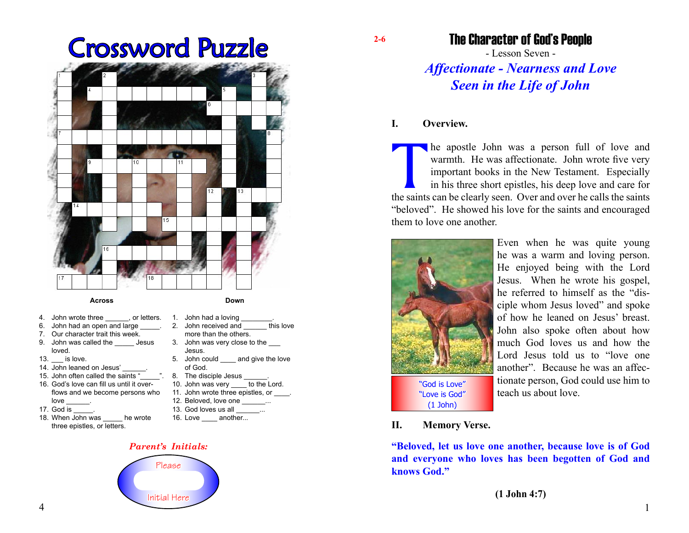# Crossword Puzzle **2-6**



#### **Across**

- 4. John wrote three **come contact** or letters.
- 6. John had an open and large
- 7. Our character trait this week.
- 9. John was called the Jesus loved.
- 13. **is love.**
- 14. John leaned on Jesus'
- 15. John often called the saints "
- 16. God's love can fill us until it overflows and we become persons who love
- 17. God is \_\_\_\_\_.
- 18. When John was \_\_\_\_\_ he wrote three epistles, or letters.
- 1. John had a loving 2. John received and **this love** more than the others. 3. John was very close to the \_\_\_
- Jesus. 5. John could and give the love

**Down**

- of God.
- 8. The disciple Jesus \_ 10. John was very to the Lord.
- 11. John wrote three epistles, or  $\qquad \qquad$ .
- 12. Beloved, love one  $\ldots$
- 
- 13. God loves us all
- 16. Love \_\_\_\_ another...

#### *Parent's Initials:*



### The Character of God's People

- Lesson Seven - *Affectionate - Nearness and Love Seen in the Life of John*

#### **I. Overview.**

The apostle John was a person full of love and warmth. He was affectionate. John wrote five very important books in the New Testament. Especially in his three short epistles, his deep love and care for the saints can be cl warmth. He was affectionate. John wrote five very important books in the New Testament. Especially in his three short epistles, his deep love and care for "beloved". He showed his love for the saints and encouraged them to love one another.



Even when he was quite young he was a warm and loving person. He enjoyed being with the Lord Jesus. When he wrote his gospel, he referred to himself as the "disciple whom Jesus loved" and spoke of how he leaned on Jesus' breast. John also spoke often about how much God loves us and how the Lord Jesus told us to "love one another". Because he was an affectionate person, God could use him to teach us about love.

#### **II. Memory Verse.**

**"Beloved, let us love one another, because love is of God and everyone who loves has been begotten of God and knows God."**

**(1 John 4:7)**